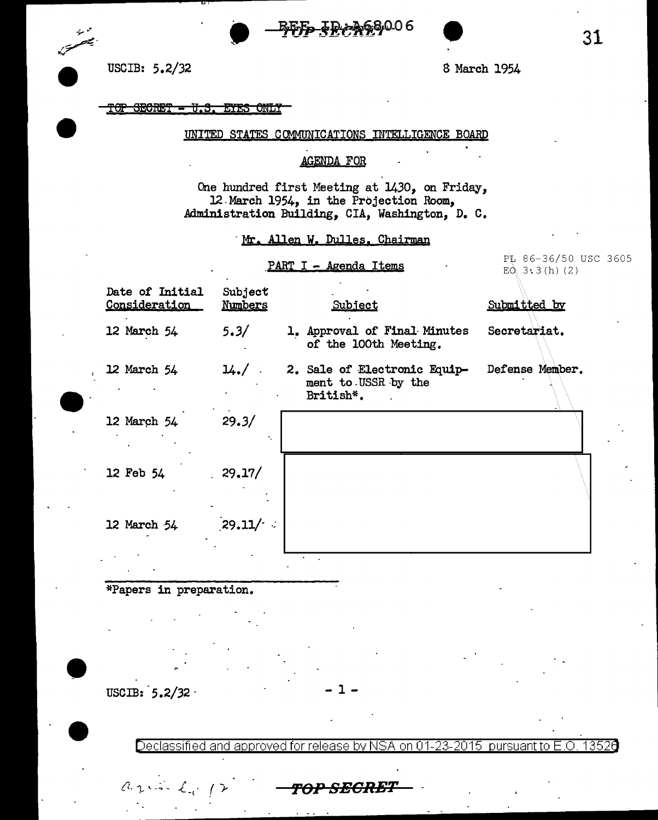



#### <u>TOP SECRET - U.S. EYES ONLY</u>

#### UNITED STATES COMMUNICATIONS INTELLIGENCE BOARD

### AGENDA FOR

One hundred first Meeting at 1430, on Friday, 12 March 1954, in the Projection Room, Administration Building, CIA, Washington, D. c.

# Mr. Allen W. Dulles, Chairman

### PART I - Agenda Items

PL 86-36/50 USC 3605  $E\ddot{Q}_1$  3.3 (h) (2)

| Date of Initial<br>Consideration | Subject<br>Numbers | Subject                                                          | Submitted by    |
|----------------------------------|--------------------|------------------------------------------------------------------|-----------------|
| 12 March 54                      | 5.3/               | 1. Approval of Final Minutes<br>of the 100th Meeting.            | Secretariat.    |
| 12 March 54                      | $14.7$ .           | 2. Sale of Electronic Equip-<br>ment to USSR by the<br>British*. | Defense Member. |
| 12 March 54                      | 29.3/              |                                                                  |                 |
| 12 Feb 54                        | 29.17/             |                                                                  |                 |
| 12 March 54                      | 29.11/             |                                                                  |                 |
|                                  |                    |                                                                  |                 |

## \*Papers in preparation.

USCIB:  $5.2/32$ 

<sup>~</sup>\_. fl ( ,\_ *{-1..* "]...'" . .., .. ..(\_\_(. r *f'<>P* **SECRBT** 

Declassified and approved for release by NSA on 01-23-2015 pursuantto E .0. 1352a